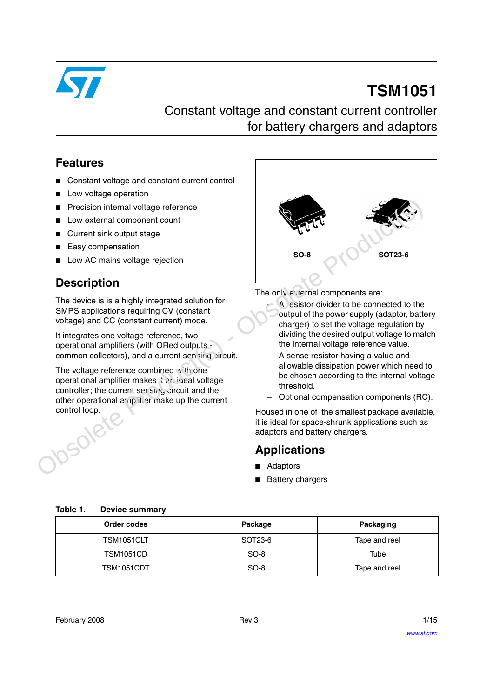

# **TSM1051**

# Constant voltage and constant current controller for battery chargers and adaptors

### **Features**

- Constant voltage and constant current control
- Low voltage operation
- **Precision internal voltage reference**
- Low external component count
- Current sink output stage
- **Easy compensation**
- Low AC mains voltage rejection

### **Description**

The device is is a highly integrated solution for SMPS applications requiring CV (constant voltage) and CC (constant current) mode.

It integrates one voltage reference, two operational amplifiers (with ORed outputs common collectors), and a current sensing circuit.

The voltage reference combined with one operational amplifier makes it an ineal voltage controller; the current sensing circuit and the other operational amplifier make up the current control loop.



The only external components are:

- A resistor divider to be connected to the output of the power supply (adaptor, battery charger) to set the voltage regulation by dividing the desired output voltage to match the internal voltage reference value.
- A sense resistor having a value and allowable dissipation power which need to be chosen according to the internal voltage threshold.
- Optional compensation components (RC).

Housed in one of the smallest package available, it is ideal for space-shrunk applications such as adaptors and battery chargers.

### **Applications**

- **Adaptors**
- Battery chargers

| Order codes      | Package | Packaging     |
|------------------|---------|---------------|
| TSM1051CLT       | SOT23-6 | Tape and reel |
| <b>TSM1051CD</b> | $SO-8$  | Tube          |
| TSM1051CDT       | $SO-8$  | Tape and reel |

**Table 1. Device summary**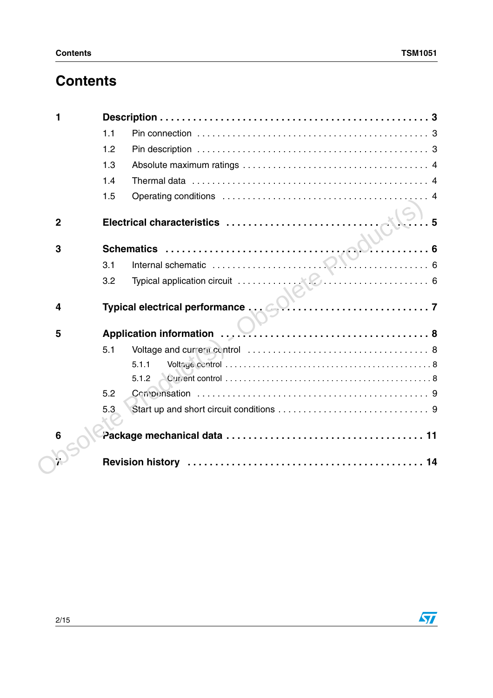# **Contents**

|                 | 1.1                              |
|-----------------|----------------------------------|
|                 | 1.2                              |
|                 | 1.3                              |
|                 | 1.4                              |
|                 | 1.5                              |
| $\mathbf{2}$    | Electrical characteristics<br>.5 |
| 3               | $\sum_{1}$ 6                     |
|                 | 3.1                              |
|                 | 3.2                              |
| 4               |                                  |
| 5               |                                  |
|                 | 5.1                              |
|                 | 5.1.1                            |
|                 | 5.1.2                            |
|                 | 5.2                              |
|                 | 5.3                              |
| $6\phantom{1}6$ |                                  |
|                 |                                  |
|                 |                                  |

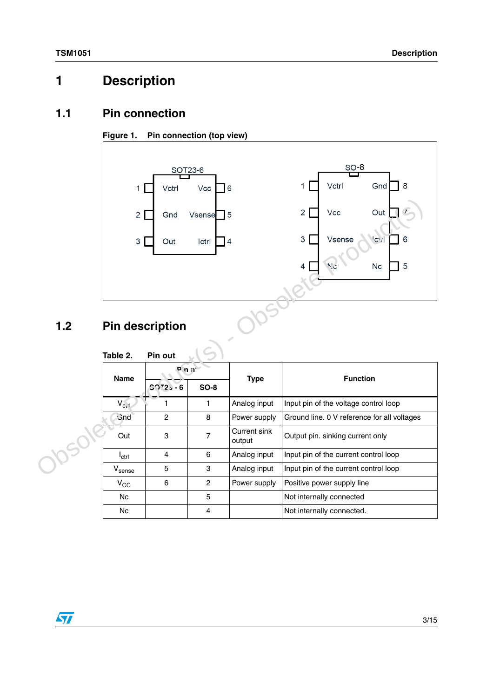# <span id="page-2-0"></span>**1 Description**

### <span id="page-2-1"></span>**1.1 Pin connection**

### **Figure 1. Pin connection (top view)**



# <span id="page-2-2"></span>**1.2 Pin description**

| 1.2 | $\overline{2}$<br>3<br><b>Pin description</b> | Gnd<br>Out         | Vsense<br>Ictrl | 5<br>4                 | Out<br>2<br>Vcc<br>3<br>Vsense<br>'ct i<br>5<br>$N_{\rm cl}$<br>Nc<br>4 |
|-----|-----------------------------------------------|--------------------|-----------------|------------------------|-------------------------------------------------------------------------|
|     | Table 2.                                      | Pin out            |                 |                        |                                                                         |
|     | <b>Name</b>                                   | P(n)<br>$50T2 - 6$ | <b>SO-8</b>     | <b>Type</b>            | <b>Function</b>                                                         |
|     | $V_{c1}$                                      | 1                  | $\mathbf{1}$    | Analog input           | Input pin of the voltage control loop                                   |
|     | <b>Gnd</b>                                    | $\overline{2}$     | 8               | Power supply           | Ground line. 0 V reference for all voltages                             |
|     | Out                                           | 3                  | $\overline{7}$  | Current sink<br>output | Output pin. sinking current only                                        |
|     | $I_{\text{ctrl}}$                             | 4                  | 6               | Analog input           | Input pin of the current control loop                                   |
|     | $V_{\text{sense}}$                            | 5                  | 3               | Analog input           | Input pin of the current control loop                                   |
|     | $V_{\rm CC}$                                  | 6                  | $\overline{c}$  | Power supply           | Positive power supply line                                              |
|     | Nc                                            |                    | 5               |                        | Not internally connected                                                |
|     | <b>Nc</b>                                     |                    | 4               |                        | Not internally connected.                                               |

#### **Table 2. Pin out**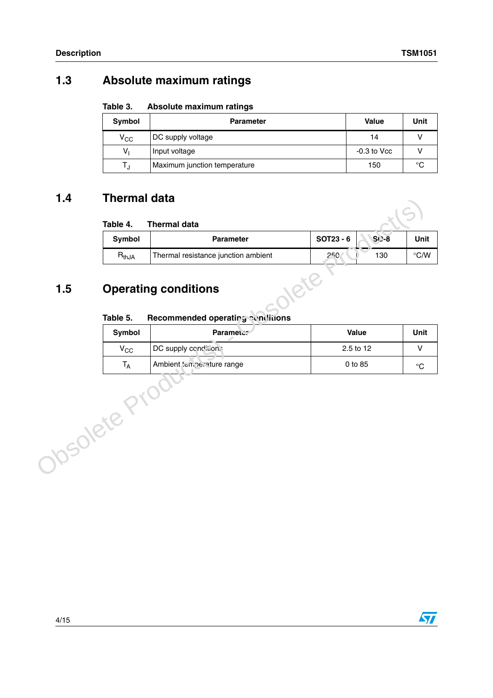### <span id="page-3-0"></span>**1.3 Absolute maximum ratings**

**Table 3. Absolute maximum ratings**

| Symbol       | <b>Parameter</b>             | <b>Value</b>    | Unit |
|--------------|------------------------------|-----------------|------|
| $V_{\rm CC}$ | DC supply voltage            | 14              |      |
| v,           | Input voltage                | $-0.3$ to $Vcc$ |      |
|              | Maximum junction temperature | 150             | °C   |

### <span id="page-3-1"></span>**1.4 Thermal data**

|                 | Symbol<br>$R_{thJA}$        | <b>Parameter</b><br>Thermal resistance junction ambient | SOT23 - 6<br>250 | $S( )-8$<br>130 | $\degree$ C/W |
|-----------------|-----------------------------|---------------------------------------------------------|------------------|-----------------|---------------|
| 1.5<br>Table 5. | <b>Operating conditions</b> | Recommended operating conditions                        |                  |                 |               |
|                 | Symbol                      | Parameter                                               |                  | Value           | Unit          |
|                 | $V_{CC}$                    | DC supply condition.                                    |                  | 2.5 to 12       |               |
|                 | $T_A$                       | Ambient temperature range                               |                  | 0 to 85         |               |
| Josolete F      |                             |                                                         |                  |                 |               |

# <span id="page-3-2"></span>**1.5 Operating conditions**

#### **Table 5.** Recommended operating conditions

| Symbol       | <b>Parameter</b>          | Value     | Unit   |
|--------------|---------------------------|-----------|--------|
| $\rm v_{cc}$ | DC supply conditions      | 2.5 to 12 |        |
| ١д           | Ambient temperature range | 0 to 85   | $\sim$ |

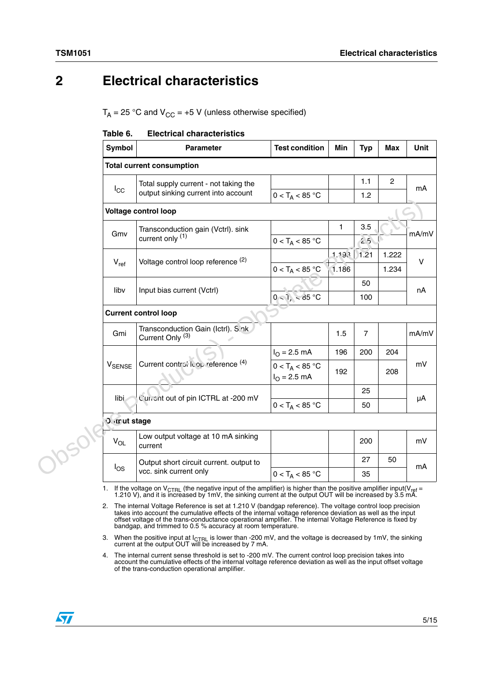# <span id="page-4-0"></span>**2 Electrical characteristics**

 $T_A = 25$  °C and  $V_{CC} = +5$  V (unless otherwise specified)

| <b>Electrical characteristics</b><br>Table 6. |  |
|-----------------------------------------------|--|
|-----------------------------------------------|--|

| Symbol               |                                         | <b>Parameter</b>                                                   | <b>Test condition</b>                      | Min   | <b>Typ</b>     | <b>Max</b>     | Unit   |  |
|----------------------|-----------------------------------------|--------------------------------------------------------------------|--------------------------------------------|-------|----------------|----------------|--------|--|
|                      | <b>Total current consumption</b>        |                                                                    |                                            |       |                |                |        |  |
|                      |                                         | Total supply current - not taking the                              |                                            |       | 1.1            | $\overline{2}$ | mA     |  |
| $I_{\rm CC}$         |                                         | output sinking current into account                                | $0 < T_A < 85$ °C                          |       | 1.2            |                |        |  |
|                      |                                         | <b>Voltage control loop</b>                                        |                                            |       |                |                |        |  |
| Gmv                  |                                         | Transconduction gain (Vctrl). sink                                 |                                            | 1     | 3.5            |                | mA/mV  |  |
|                      |                                         | current only (1)                                                   | $0 < T_A < 85 °C$                          |       | 2.5            |                |        |  |
| $V_{ref}$            |                                         | Voltage control loop reference (2)                                 |                                            | 1,193 | 1.21           | 1.222          | $\vee$ |  |
|                      |                                         |                                                                    | $0 < T_A < 85$ °C                          | 1.186 |                | 1.234          |        |  |
| liby                 |                                         | Input bias current (Vctrl)                                         |                                            |       | 50             |                | nA     |  |
|                      |                                         |                                                                    | $0 - 1$ , $-85$ °C                         |       | 100            |                |        |  |
|                      |                                         | <b>Current control loop</b>                                        |                                            |       |                |                |        |  |
| Gmi                  |                                         | Transconduction Gain (Ictrl). S.nk.<br>Current Only <sup>(3)</sup> |                                            | 1.5   | $\overline{7}$ |                | mA/mV  |  |
|                      |                                         |                                                                    | $I_{O} = 2.5$ mA                           | 196   | 200            | 204            |        |  |
| <b>V</b> SENSE       |                                         | Current control Icop reference (4)                                 | $0 < T_A < 85 °C$<br>$I_{\Omega} = 2.5$ mA | 192   |                | 208            | mV     |  |
|                      |                                         |                                                                    |                                            |       | 25             |                |        |  |
| libi                 |                                         | Current out of pin ICTRL at -200 mV                                | $0 < T_A < 85 °C$                          |       | 50             |                | μA     |  |
| <b>Over ut stage</b> |                                         |                                                                    |                                            |       |                |                |        |  |
| $V_{OL}$             |                                         | Low output voltage at 10 mA sinking<br>current                     |                                            |       | 200            |                | mV     |  |
|                      | Output short circuit current. output to |                                                                    |                                            |       | 27             | 50             |        |  |
| $I_{OS}$             |                                         | vcc. sink current only                                             | $0 < T_A < 85 °C$                          |       | 35             |                | mA     |  |
|                      |                                         |                                                                    |                                            |       |                |                |        |  |

1. If the voltage on V<sub>CTRL</sub> (the negative input of the amplifier) is higher than the positive amplifier input(V<sub>ref</sub> = 1.210 V), and it is increased by 1mV, the sinking current at the output OUT will be increased by 3.5

2. The internal Voltage Reference is set at 1.210 V (bandgap reference). The voltage control loop precision takes into account the cumulative effects of the internal voltage reference deviation as well as the input<br>offset voltage of the trans-conductance operational amplifier. The internal Voltage Reference is fixed by<br>bandgap,

3. When the positive input at  $I_{\text{CTRL}}$  is lower than -200 mV, and the voltage is decreased by 1mV, the sinking current at the output OUT will be increased by 7 mA.

4. The internal current sense threshold is set to -200 mV. The current control loop precision takes into account the cumulative effects of the internal voltage reference deviation as well as the input offset voltage of the trans-conduction operational amplifier.

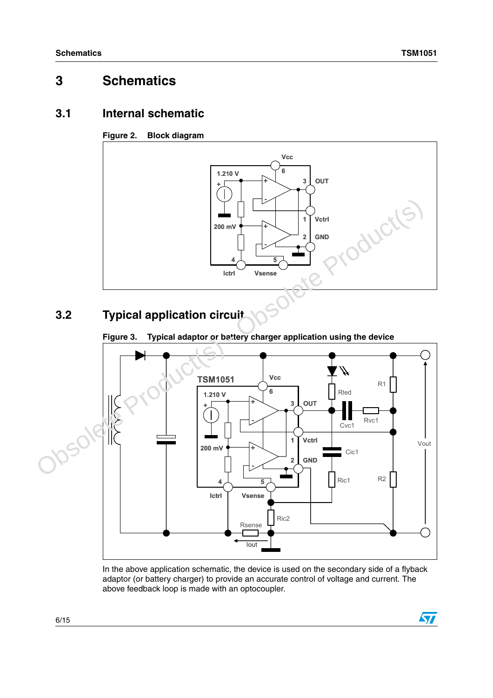# <span id="page-5-0"></span>**3 Schematics**

### <span id="page-5-1"></span>**3.1 Internal schematic**

#### **Figure 2. Block diagram**



# <span id="page-5-2"></span>**3.2 Typical application circuit**

#### <span id="page-5-3"></span>Figure 3. Typical adaptor or battery charger application using the device



In the above application schematic, the device is used on the secondary side of a flyback adaptor (or battery charger) to provide an accurate control of voltage and current. The above feedback loop is made with an optocoupler.

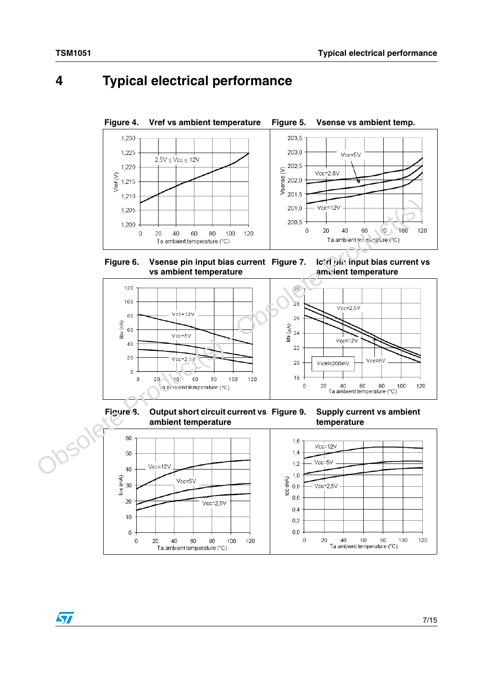# <span id="page-6-0"></span>**4 Typical electrical performance**



**Figure 6. Vsense pin input bias current vs ambient temperature**





**Figure 8. Output short circuit current vs ambient temperature**

**Supply current vs ambient temperature**



 $\sqrt{2}$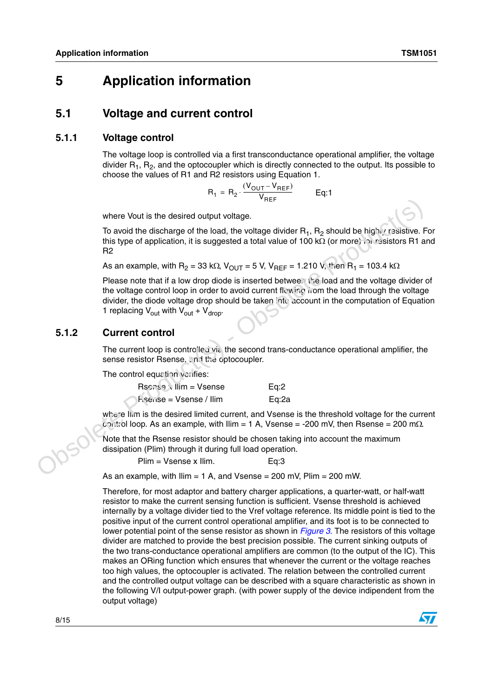### <span id="page-7-0"></span>**5 Application information**

### <span id="page-7-1"></span>**5.1 Voltage and current control**

#### <span id="page-7-2"></span>**5.1.1 Voltage control**

The voltage loop is controlled via a first transconductance operational amplifier, the voltage divider  $R_1$ ,  $R_2$ , and the optocoupler which is directly connected to the output. Its possible to choose the values of R1 and R2 resistors using Equation 1.

$$
R_1 = R_2 \cdot \frac{(V_{OUT} - V_{REF})}{V_{REF}} \qquad Eq:1
$$

where Vout is the desired output voltage.

To avoid the discharge of the load, the voltage divider  $R_1$ ,  $R_2$  should be highly resistive. For this type of application, it is suggested a total value of 100 kΩ (or more) for resistors R1 and R2

As an example, with  $R_2 = 33$  kΩ,  $V_{OUT} = 5$  V,  $V_{REF} = 1.210$  V, then  $R_1 = 103.4$  kΩ

Please note that if a low drop diode is inserted between the load and the voltage divider of the voltage control loop in order to avoid current flowing from the load through the voltage divider, the diode voltage drop should be taken into account in the computation of Equation 1 replacing  $V_{\text{out}}$  with  $V_{\text{out}} + V_{\text{drop}}$ . where Yout is the desired output voltage.<br>
To avoid the discharge of the load, the voltage divider R<sub>1</sub>, R<sub>2</sub> should be high't resistive.<br>
this type of application, it is suggested a total value of 100 kG (or more), an ex

#### <span id="page-7-3"></span>**5.1.2 Current control**

The current loop is controlled via the second trans-conductance operational amplifier, the sense resistor Rsense, and the optocoupler.

The control equation verifies:

| Rschsen, Ilim = Vsense  | Eq:2  |
|-------------------------|-------|
| hserise = Vsense / Ilim | Eq:2a |

where Ilim is the desired limited current, and Vsense is the threshold voltage for the current  $\text{c}_2$  to loop. As an example, with Ilim = 1 A, Vsense = -200 mV, then Rsense = 200 m $\Omega$ .

Note that the Rsense resistor should be chosen taking into account the maximum dissipation (Plim) through it during full load operation.

Plim = Vsense x Ilim. Eq:3

As an example, with  $Ilim = 1$  A, and Vsense = 200 mV,  $Plim = 200$  mW.

Therefore, for most adaptor and battery charger applications, a quarter-watt, or half-watt resistor to make the current sensing function is sufficient. Vsense threshold is achieved internally by a voltage divider tied to the Vref voltage reference. Its middle point is tied to the positive input of the current control operational amplifier, and its foot is to be connected to lower potential point of the sense resistor as shown in *[Figure 3.](#page-5-3)* The resistors of this voltage divider are matched to provide the best precision possible. The current sinking outputs of the two trans-conductance operational amplifiers are common (to the output of the IC). This makes an ORing function which ensures that whenever the current or the voltage reaches too high values, the optocoupler is activated. The relation between the controlled current and the controlled output voltage can be described with a square characteristic as shown in the following V/I output-power graph. (with power supply of the device indipendent from the output voltage)

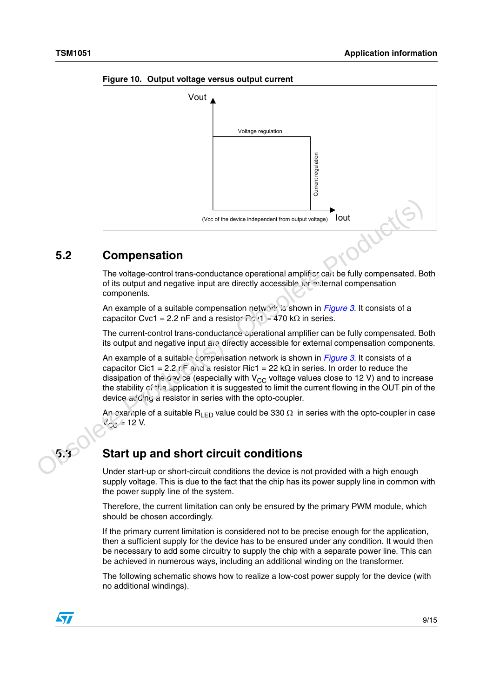

**Figure 10. Output voltage versus output current**

### <span id="page-8-0"></span>**5.2 Compensation**

The voltage-control trans-conductance operational amplifier can be fully compensated. Both of its output and negative input are directly accessible for external compensation components.

An example of a suitable compensation network is shown in *Figure 3.* It consists of a capacitor Cvc1 = 2.2 nF and a resistor  $\Gamma$ cv1 = 470 kΩ in series.

The current-control trans-conductance *cperational amplifier can be fully compensated*. Both its output and negative input are directly accessible for external compensation components.

An example of a suitable compensation network is shown in *Figure 3.* It consists of a capacitor Cic1 = 2.2 nF and a resistor Ric1 = 22 k $\Omega$  in series. In order to reduce the dissipation of the gav ce (especially with V<sub>CC</sub> voltage values close to 12 V) and to increase the stability  $c^2$ ,  $\alpha$  application it is suggested to limit the current flowing in the OUT pin of the device  $a\sqrt{a}$  ing a resistor in series with the opto-coupler. **Compensation**<br>
The voltage-control trans-conductance operation anguli witage) **Solution**<br>
The voltage-control trans-conductance operational amplifics can be fully compensated. Both the voltage control trans-conductance o

An example of a suitable R<sub>LED</sub> value could be 330  $\Omega$  in series with the opto-coupler in case  $V_{C_1} = 12$  V.

### <span id="page-8-1"></span>**Start up and short circuit conditions**

Under start-up or short-circuit conditions the device is not provided with a high enough supply voltage. This is due to the fact that the chip has its power supply line in common with the power supply line of the system.

Therefore, the current limitation can only be ensured by the primary PWM module, which should be chosen accordingly.

If the primary current limitation is considered not to be precise enough for the application, then a sufficient supply for the device has to be ensured under any condition. It would then be necessary to add some circuitry to supply the chip with a separate power line. This can be achieved in numerous ways, including an additional winding on the transformer.

The following schematic shows how to realize a low-cost power supply for the device (with no additional windings).

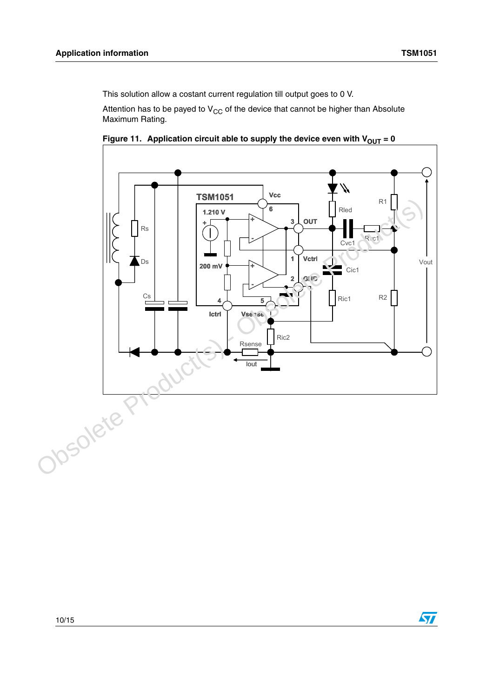This solution allow a costant current regulation till output goes to 0 V.

Attention has to be payed to  $V_{CC}$  of the device that cannot be higher than Absolute Maximum Rating.



Figure 11. Application circuit able to supply the device even with  $V_{OUT} = 0$ 

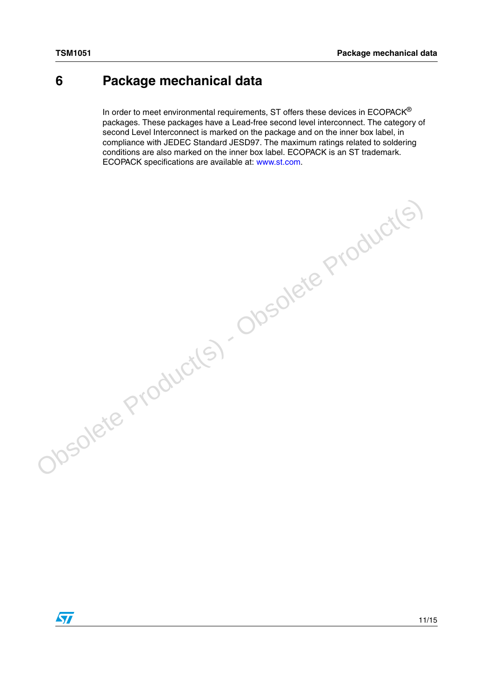# <span id="page-10-0"></span>**6 Package mechanical data**

In order to meet environmental requirements, ST offers these devices in  $ECOPACK^{\circledcirc}$ packages. These packages have a Lead-free second level interconnect. The category of second Level Interconnect is marked on the package and on the inner box label, in compliance with JEDEC Standard JESD97. The maximum ratings related to soldering conditions are also marked on the inner box label. ECOPACK is an ST trademark. ECOPACK specifications are available at: www.st.com.

Obsolete Product(s) - Obsolete Product(s)

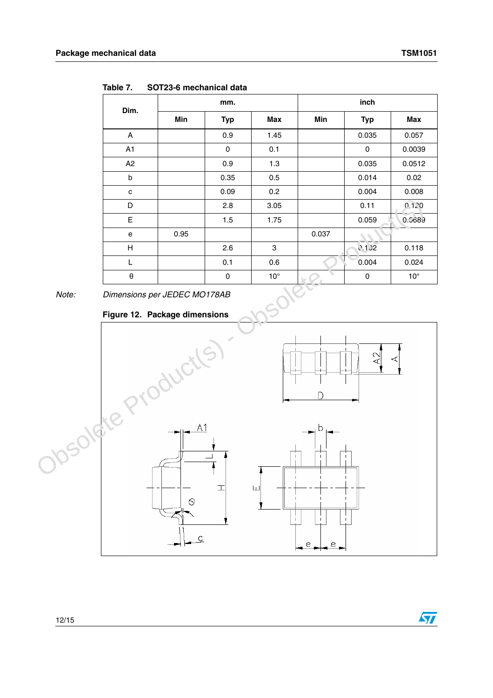| Dim.                          | mm.  |            |              | inch  |             |              |  |
|-------------------------------|------|------------|--------------|-------|-------------|--------------|--|
|                               | Min  | <b>Typ</b> | Max          | Min   | <b>Typ</b>  | Max          |  |
| A                             |      | 0.9        | 1.45         |       | 0.035       | 0.057        |  |
| A1                            |      | 0          | 0.1          |       | 0           | 0.0039       |  |
| A2                            |      | 0.9        | 1.3          |       | 0.035       | 0.0512       |  |
| b                             |      | 0.35       | 0.5          |       | 0.014       | 0.02         |  |
| c                             |      | 0.09       | 0.2          |       | 0.004       | 0.008        |  |
| D                             |      | 2.8        | 3.05         |       | 0.11        | 0.120        |  |
| E                             |      | 1.5        | 1.75         |       | 0.059       | 0.0689       |  |
| e                             | 0.95 |            |              | 0.037 |             |              |  |
| Н                             |      | 2.6        | 3            |       | 0.132       | 0.118        |  |
| L                             |      | 0.1        | 0.6          |       | 0.004       | 0.024        |  |
| θ                             |      | 0          | $10^{\circ}$ |       | $\mathbf 0$ | $10^{\circ}$ |  |
| Dimensions per JEDEC MO178AB  |      |            |              |       |             |              |  |
| Figure 12. Package dimensions |      |            |              |       |             |              |  |

**Table 7. SOT23-6 mechanical data**

*Note: Dimensions per JEDEC MO178AB*

#### **Figure 12. Package dimensions**



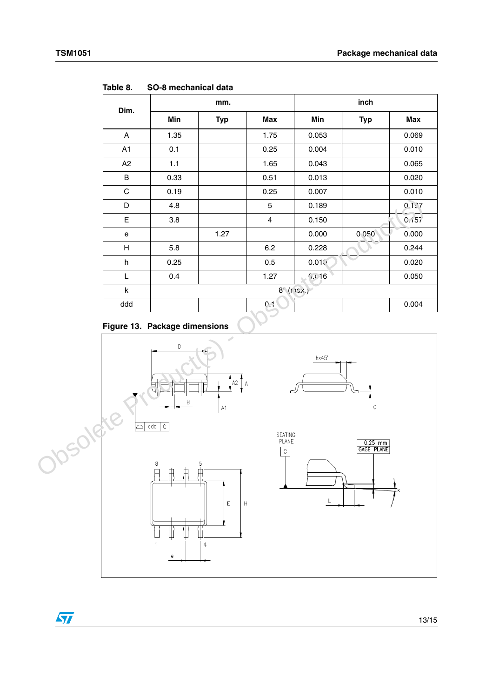| Dim.        |      | mm.        |                         | inch              |            |            |  |
|-------------|------|------------|-------------------------|-------------------|------------|------------|--|
|             | Min  | <b>Typ</b> | Max                     | Min               | <b>Typ</b> | <b>Max</b> |  |
| A           | 1.35 |            | 1.75                    | 0.053             |            | 0.069      |  |
| A1          | 0.1  |            | 0.25                    | 0.004             |            | 0.010      |  |
| A2          | 1.1  |            | 1.65                    | 0.043             |            | 0.065      |  |
| $\sf B$     | 0.33 |            | 0.51                    | 0.013             |            | 0.020      |  |
| $\mathbf C$ | 0.19 |            | 0.25                    | 0.007             |            | 0.010      |  |
| D           | 4.8  |            | 5                       | 0.189             |            | 0.157      |  |
| E           | 3.8  |            | $\overline{\mathbf{4}}$ | 0.150             |            | 0.157      |  |
| e           |      | 1.27       |                         | 0.000             | 0.050      | 0.000      |  |
| H           | 5.8  |            | 6.2                     | 0.228             |            | 0.244      |  |
| h           | 0.25 |            | 0.5                     | 0.01(             |            | 0.020      |  |
| L           | 0.4  |            | 1.27                    | 6.016             |            | 0.050      |  |
| k           |      |            |                         | $8^c$ (r $12x$ .) |            |            |  |
| ddd         |      |            | $0 - 1$                 |                   |            | 0.004      |  |

**Table 8. SO-8 mechanical data**





 $\sqrt{2}$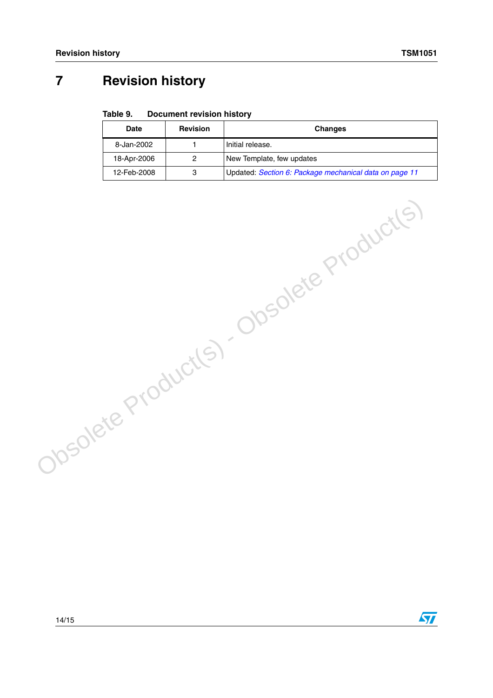$\sqrt{2}$ 

# <span id="page-13-0"></span>**7 Revision history**

#### Table 9. **Document revision history**

Obsolete Product(s) - Obsolete Product(s)

| Date        | <b>Revision</b> | <b>Changes</b>                                         |
|-------------|-----------------|--------------------------------------------------------|
| 8-Jan-2002  |                 | Initial release.                                       |
| 18-Apr-2006 |                 | New Template, few updates                              |
| 12-Feb-2008 | 3               | Updated: Section 6: Package mechanical data on page 11 |